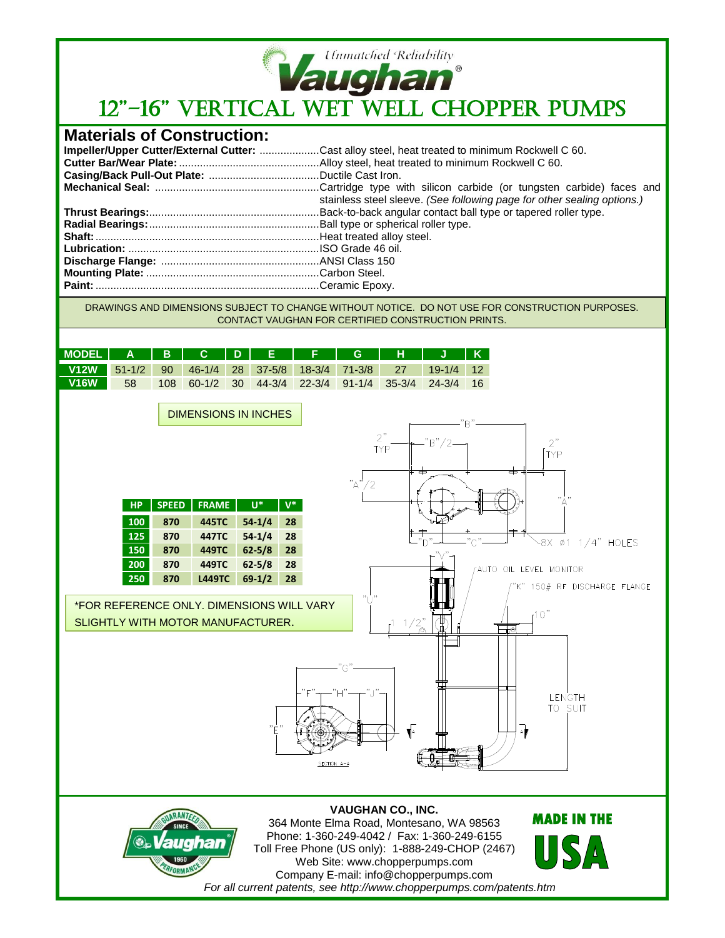

## *Ummatched Reliability*<br>12"–16" VERTICAL WET WELL CHOPPER PUMPS

## **Materials of Construction:**

| Impeller/Upper Cutter/External Cutter: Cast alloy steel, heat treated to minimum Rockwell C 60. |
|-------------------------------------------------------------------------------------------------|
|                                                                                                 |
|                                                                                                 |
| stainless steel sleeve. (See following page for other sealing options.)                         |
|                                                                                                 |
|                                                                                                 |
|                                                                                                 |
|                                                                                                 |
|                                                                                                 |
|                                                                                                 |
|                                                                                                 |

DRAWINGS AND DIMENSIONS SUBJECT TO CHANGE WITHOUT NOTICE. DO NOT USE FOR CONSTRUCTION PURPOSES. CONTACT VAUGHAN FOR CERTIFIED CONSTRUCTION PRINTS.

| V12W 51-1/2 90 46-1/4 28 37-5/8 18-3/4 71-3/8 27 19-1/4 12              | MODEL   A   B   C   D   E   F   G   H   J   K |  |  |  |  |  |
|-------------------------------------------------------------------------|-----------------------------------------------|--|--|--|--|--|
|                                                                         |                                               |  |  |  |  |  |
| <b>V16W 58</b><br>  108 60-1/2 30 44-3/4 22-3/4 91-1/4 35-3/4 24-3/4 16 |                                               |  |  |  |  |  |

**VAUGHAN CO., INC.** 364 Monte Elma Road, Montesano, WA 98563 Phone: 1-360-249-4042 / Fax: 1-360-249-6155 Toll Free Phone (US only): 1-888-249-CHOP (2467) Web Site: www.chopperpumps.com Company E-mail: info@chopperpumps.com *For all current patents, see http://www.chopperpumps.com/patents.htm*